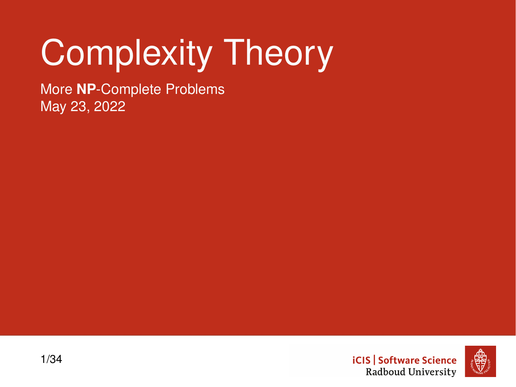# Complexity Theory

More **NP**-Complete Problems May 23, 2022

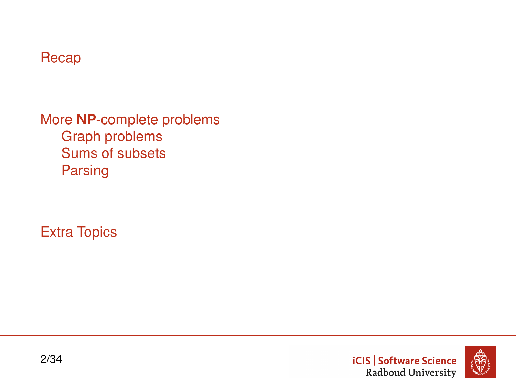#### [Recap](#page-2-0)

More **NP**[-complete problems](#page-7-0) [Graph problems](#page-8-0) [Sums of subsets](#page-18-0) [Parsing](#page-21-0)

[Extra Topics](#page-27-0)



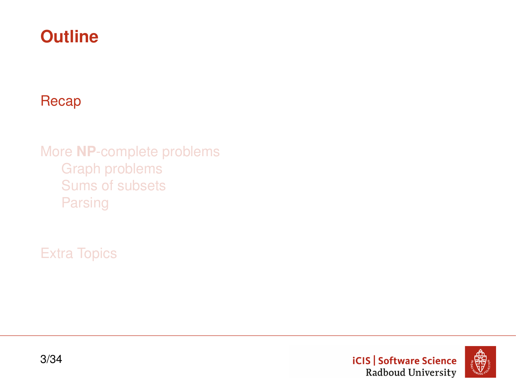# <span id="page-2-0"></span>**Outline**

#### [Recap](#page-2-0)

More **NP**[-complete problems](#page-7-0) [Graph problems](#page-8-0) [Sums of subsets](#page-18-0) [Parsing](#page-21-0)

[Extra Topics](#page-27-0)



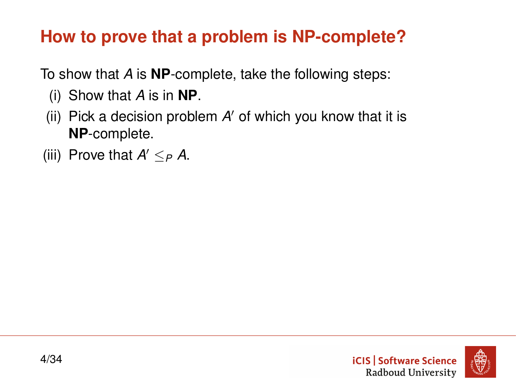# **How to prove that a problem is NP-complete?**

To show that *A* is **NP**-complete, take the following steps:

- (i) Show that *A* is in **NP**.
- (ii) Pick a decision problem A' of which you know that it is **NP**-complete.
- (iii) Prove that  $A' \leq_P A$ .

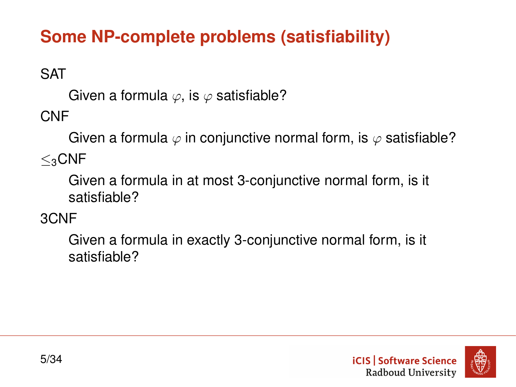# **Some NP-complete problems (satisfiability)**

**SAT** 

Given a formula  $\varphi$ , is  $\varphi$  satisfiable?

CNF

Given a formula  $\varphi$  in conjunctive normal form, is  $\varphi$  satisfiable?

 $\lt_{3}$ CNF

Given a formula in at most 3-conjunctive normal form, is it satisfiable?

3CNF

Given a formula in exactly 3-conjunctive normal form, is it satisfiable?

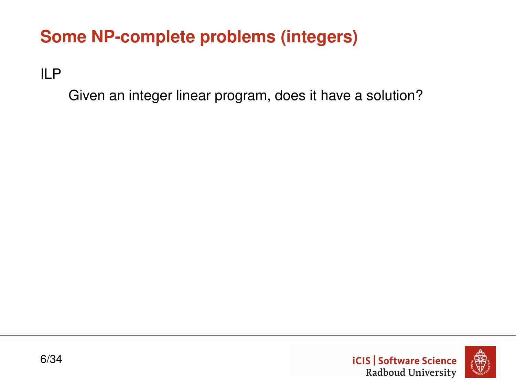# **Some NP-complete problems (integers)**

ILP

Given an integer linear program, does it have a solution?

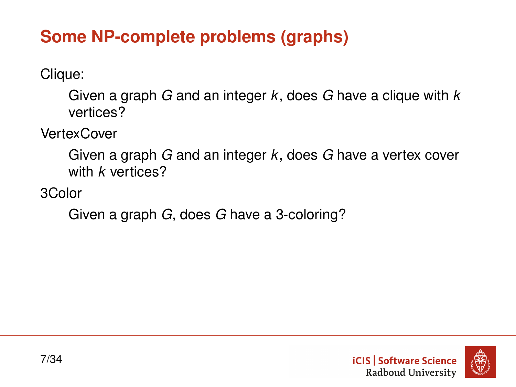# **Some NP-complete problems (graphs)**

Clique:

Given a graph *G* and an integer *k*, does *G* have a clique with *k* vertices?

**VertexCover** 

Given a graph *G* and an integer *k*, does *G* have a vertex cover with *k* vertices?

3Color

Given a graph *G*, does *G* have a 3-coloring?

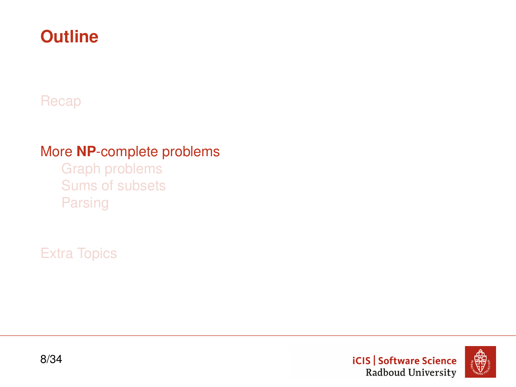# <span id="page-7-0"></span>**Outline**

#### [Recap](#page-2-0)

#### More **NP**[-complete problems](#page-7-0)

[Graph problems](#page-8-0) [Sums of subsets](#page-18-0) [Parsing](#page-21-0)

[Extra Topics](#page-27-0)



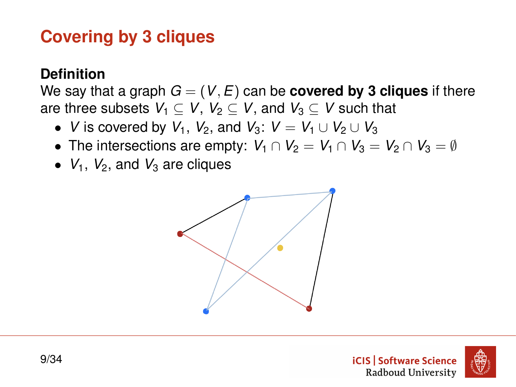# <span id="page-8-0"></span>**Covering by 3 cliques**

#### **Definition**

We say that a graph  $G = (V, E)$  can be **covered by 3 cliques** if there are three subsets  $V_1 \subset V$ ,  $V_2 \subset V$ , and  $V_3 \subset V$  such that

- *V* is covered by  $V_1$ ,  $V_2$ , and  $V_3$ :  $V = V_1 \cup V_2 \cup V_3$
- The intersections are empty:  $V_1 \cap V_2 = V_1 \cap V_3 = V_2 \cap V_3 = \emptyset$
- $V_1$ ,  $V_2$ , and  $V_3$  are cliques



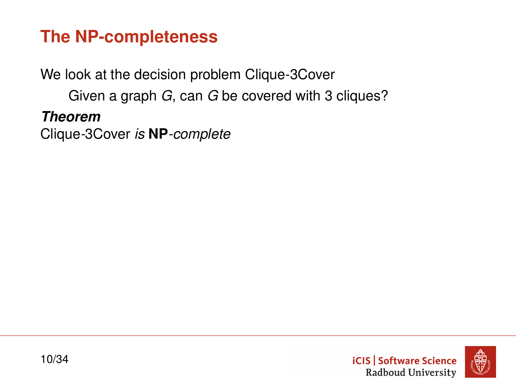# **The NP-completeness**

We look at the decision problem Clique-3Cover

Given a graph *G*, can *G* be covered with 3 cliques?

*Theorem*

Clique*-*3Cover *is* **NP***-complete*

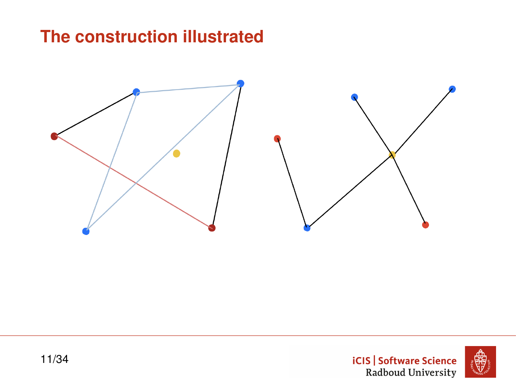# **The construction illustrated**





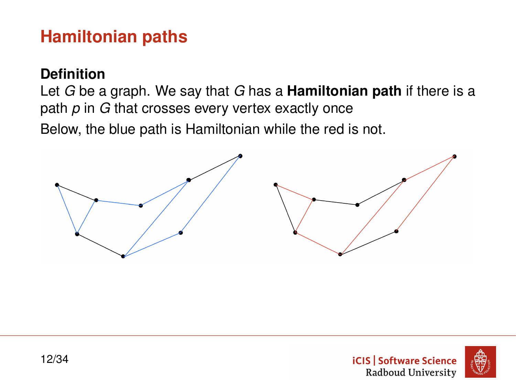# **Hamiltonian paths**

#### **Definition**

Let *G* be a graph. We say that *G* has a **Hamiltonian path** if there is a path *p* in *G* that crosses every vertex exactly once

Below, the blue path is Hamiltonian while the red is not.



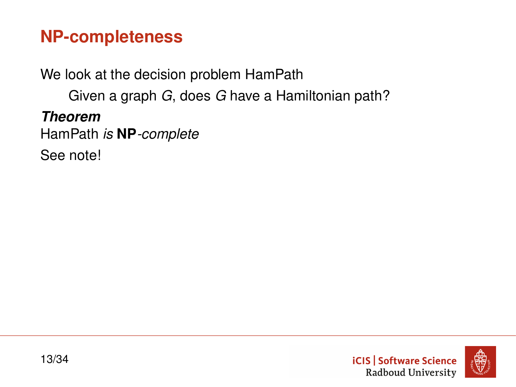# **NP-completeness**

We look at the decision problem HamPath

Given a graph *G*, does *G* have a Hamiltonian path?

*Theorem*

HamPath *is* **NP***-complete*

See note!

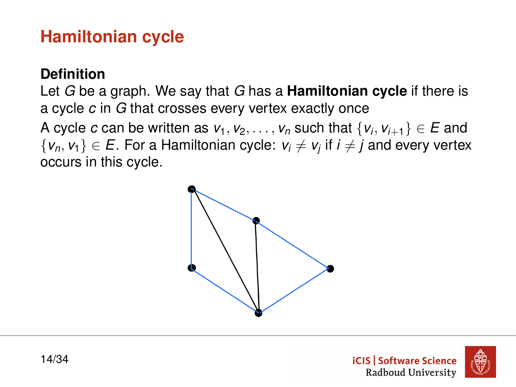# **Hamiltonian cycle**

#### **Definition**

Let *G* be a graph. We say that *G* has a **Hamiltonian cycle** if there is a cycle *c* in *G* that crosses every vertex exactly once

A cycle  $c$  can be written as  $v_1, v_2, \ldots, v_n$  such that  $\{v_i, v_{i+1}\} \in E$  and  $\{v_n, v_1\} \in E.$  For a Hamiltonian cycle:  $v_i \neq v_j$  if  $i \neq j$  and every vertex occurs in this cycle.



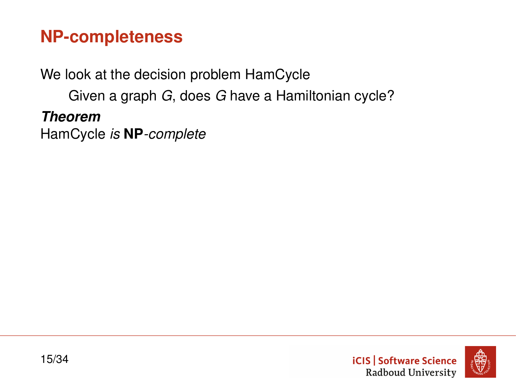# **NP-completeness**

We look at the decision problem HamCycle

Given a graph *G*, does *G* have a Hamiltonian cycle?

*Theorem*

HamCycle *is* **NP***-complete*

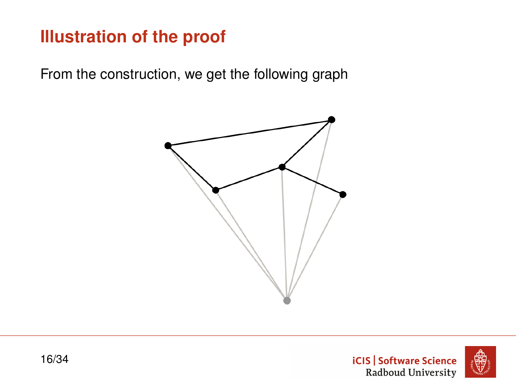# **Illustration of the proof**

From the construction, we get the following graph





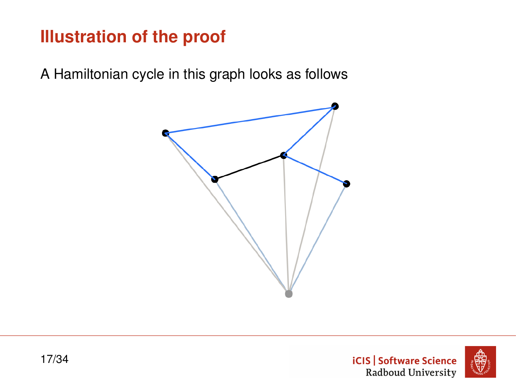# **Illustration of the proof**

A Hamiltonian cycle in this graph looks as follows



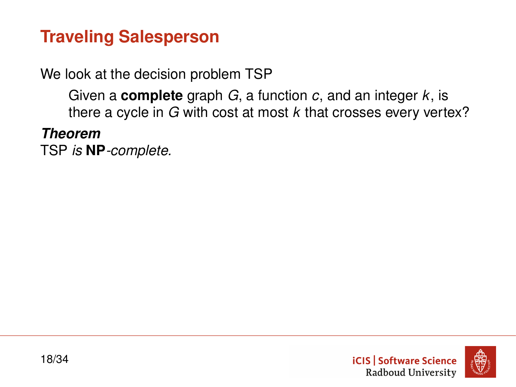# **Traveling Salesperson**

We look at the decision problem TSP

Given a **complete** graph *G*, a function *c*, and an integer *k*, is there a cycle in *G* with cost at most *k* that crosses every vertex?

*Theorem*

TSP *is* **NP***-complete.*

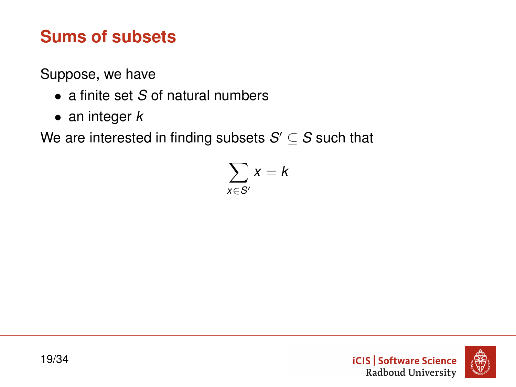# <span id="page-18-0"></span>**Sums of subsets**

Suppose, we have

- a finite set *S* of natural numbers
- an integer *k*

We are interested in finding subsets  $S' \subseteq S$  such that

$$
\sum_{x\in S'}x=k
$$

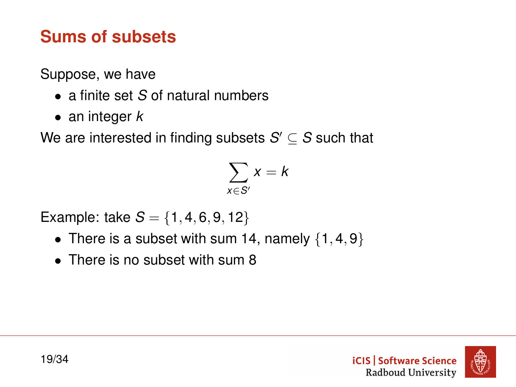# **Sums of subsets**

Suppose, we have

- a finite set *S* of natural numbers
- an integer *k*

We are interested in finding subsets  $S' \subseteq S$  such that

$$
\sum_{x\in S'}x=k
$$

Example: take  $S = \{1, 4, 6, 9, 12\}$ 

- There is a subset with sum 14, namely  $\{1, 4, 9\}$
- There is no subset with sum 8

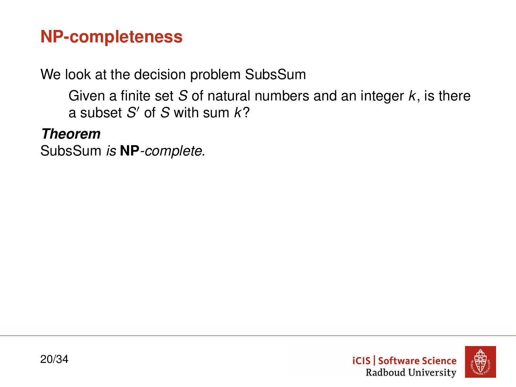# **NP-completeness**

We look at the decision problem SubsSum

Given a finite set *S* of natural numbers and an integer *k*, is there a subset *S* <sup>0</sup> of *S* with sum *k*?

*Theorem*

SubsSum *is* **NP***-complete.*

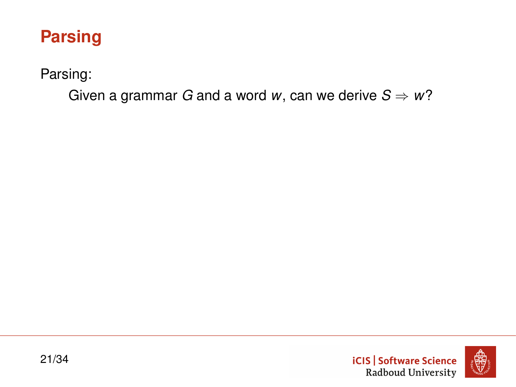# <span id="page-21-0"></span>**Parsing**

Parsing:

Given a grammar *G* and a word *w*, can we derive  $S \Rightarrow w$ ?

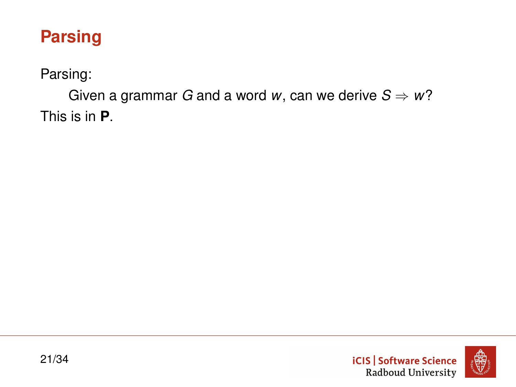# **Parsing**

Parsing:

Given a grammar *G* and a word *w*, can we derive  $S \Rightarrow w$ ? This is in **P**.

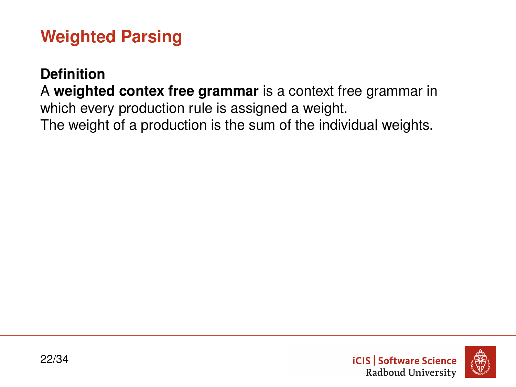# **Weighted Parsing**

#### **Definition**

A **weighted contex free grammar** is a context free grammar in which every production rule is assigned a weight. The weight of a production is the sum of the individual weights.

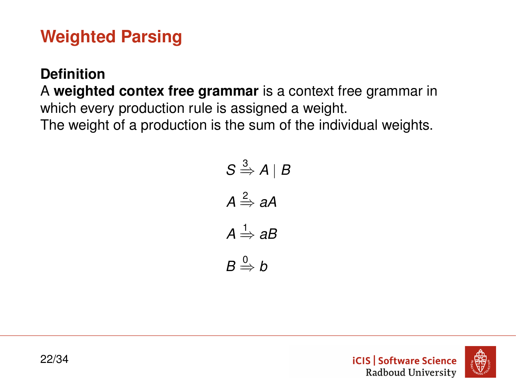# **Weighted Parsing**

#### **Definition**

A **weighted contex free grammar** is a context free grammar in which every production rule is assigned a weight. The weight of a production is the sum of the individual weights.

$$
S \stackrel{3}{\Rightarrow} A \mid B
$$

$$
A \stackrel{2}{\Rightarrow} aA
$$

$$
A \stackrel{1}{\Rightarrow} aB
$$

$$
B \stackrel{0}{\Rightarrow} b
$$



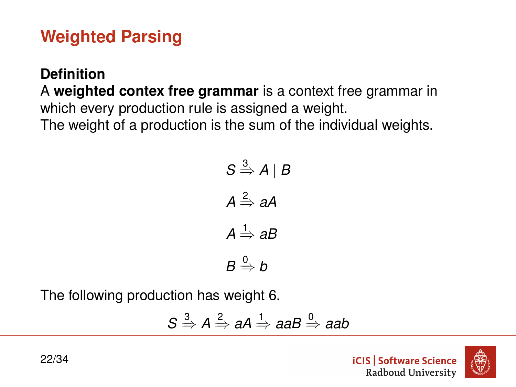# **Weighted Parsing**

#### **Definition**

A **weighted contex free grammar** is a context free grammar in which every production rule is assigned a weight. The weight of a production is the sum of the individual weights.

$$
S \stackrel{3}{\Rightarrow} A \mid B
$$

$$
A \stackrel{2}{\Rightarrow} aA
$$

$$
A \stackrel{1}{\Rightarrow} aB
$$

$$
B \stackrel{0}{\Rightarrow} b
$$

The following production has weight 6.

$$
S \xrightarrow{3} A \xrightarrow{2} aA \xrightarrow{1} aaB \xrightarrow{0} aab
$$

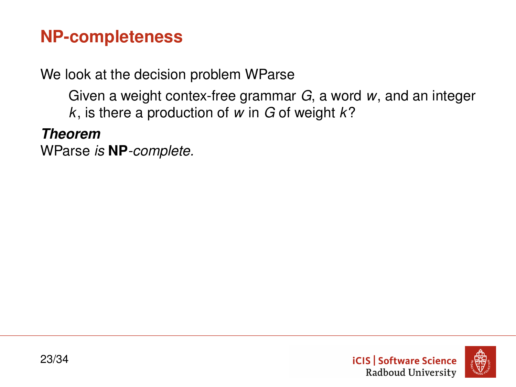# **NP-completeness**

We look at the decision problem WParse

Given a weight contex-free grammar *G*, a word *w*, and an integer *k*, is there a production of *w* in *G* of weight *k*?

*Theorem*

WParse *is* **NP***-complete.*



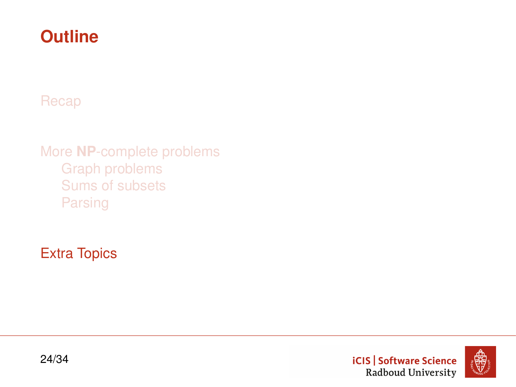# <span id="page-27-0"></span>**Outline**

[Recap](#page-2-0)

More **NP**[-complete problems](#page-7-0) [Graph problems](#page-8-0) [Sums of subsets](#page-18-0) [Parsing](#page-21-0)

[Extra Topics](#page-27-0)



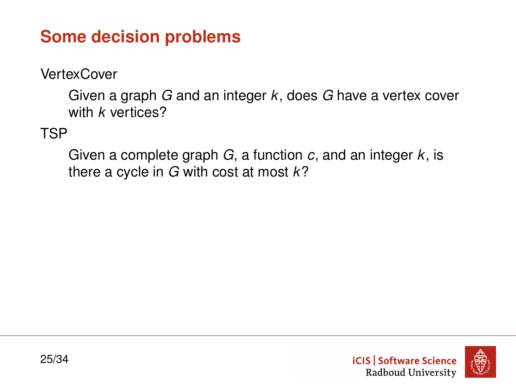# **Some decision problems**

**VertexCover** 

Given a graph *G* and an integer *k*, does *G* have a vertex cover with *k* vertices?

TSP

Given a complete graph *G*, a function *c*, and an integer *k*, is there a cycle in *G* with cost at most *k*?

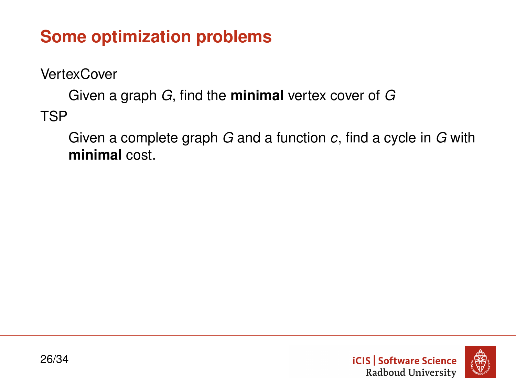# **Some optimization problems**

**VertexCover** 

Given a graph *G*, find the **minimal** vertex cover of *G* TSP

Given a complete graph *G* and a function *c*, find a cycle in *G* with **minimal** cost.

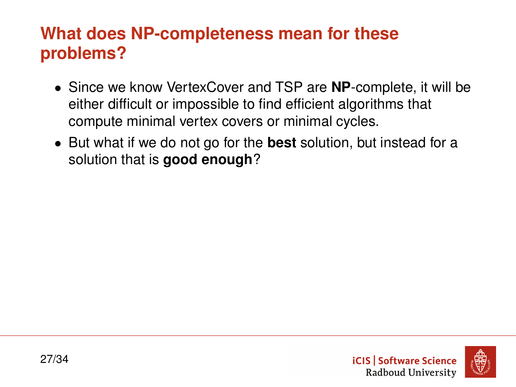# **What does NP-completeness mean for these problems?**

- Since we know VertexCover and TSP are **NP**-complete, it will be either difficult or impossible to find efficient algorithms that compute minimal vertex covers or minimal cycles.
- But what if we do not go for the **best** solution, but instead for a solution that is **good enough**?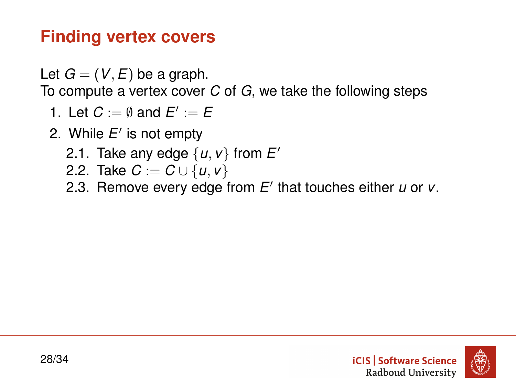# **Finding vertex covers**

Let  $G = (V, E)$  be a graph.

To compute a vertex cover *C* of *G*, we take the following steps

- 1. Let  $C := \emptyset$  and  $E' := E$
- 2. While E' is not empty
	- 2.1. Take any edge  $\{u, v\}$  from  $E'$
	- 2.2. Take  $C := C \cup \{u, v\}$
	- 2.3. Remove every edge from E' that touches either *u* or *v*.

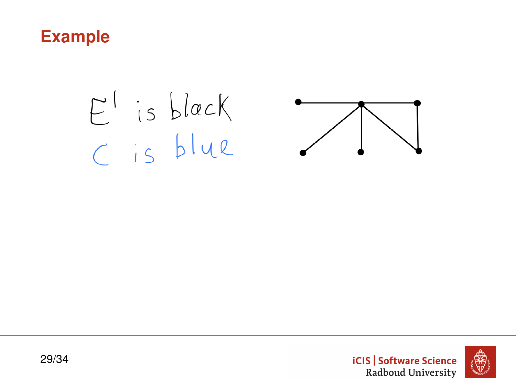#### **Example**

# $E^{\dagger}$  is black C is blue





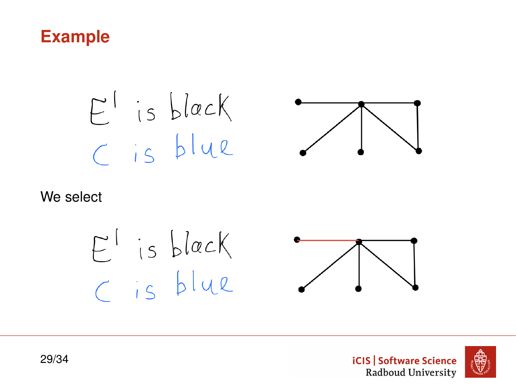# **Example**

$$
\begin{array}{c} E^1 \text{ is black} \\ C \text{ is blue} \end{array}
$$



#### We select

$$
\begin{array}{c}\nE^1 \text{ is black} \\
C \text{ is blue}\n\end{array}
$$



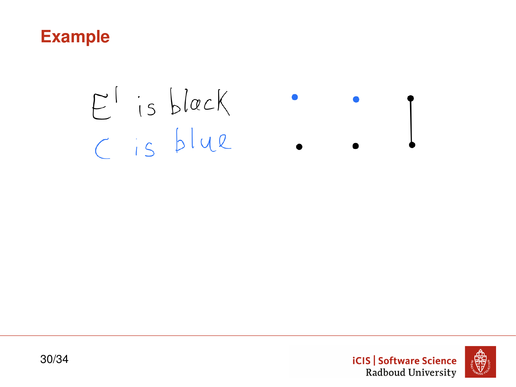

# $E^{1}$  is black<br>C is blue



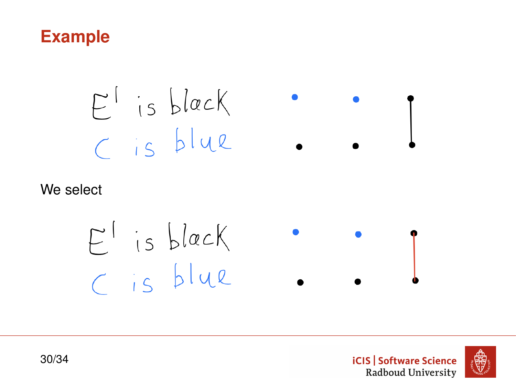

$$
E^{\dagger}
$$
 is black   

$$
C
$$
 is blue  $\bullet \bullet \bullet$ 

#### We select

$$
E^1 \text{ is black} \qquad \bullet \qquad \bullet
$$



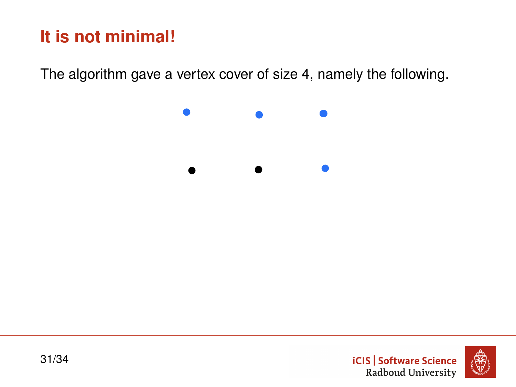# **It is not minimal!**

The algorithm gave a vertex cover of size 4, namely the following.





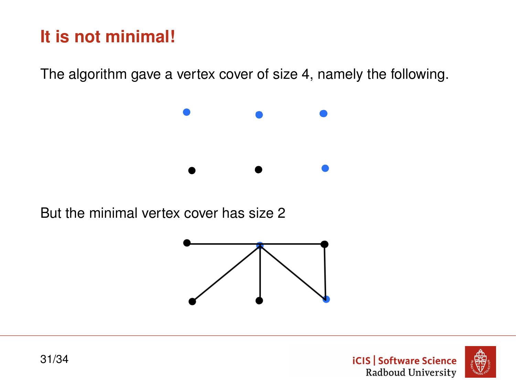# **It is not minimal!**

The algorithm gave a vertex cover of size 4, namely the following.



But the minimal vertex cover has size 2



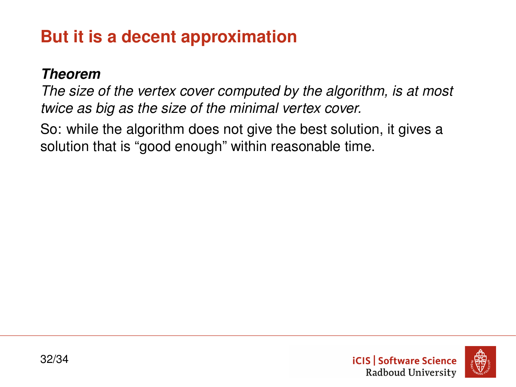# **But it is a decent approximation**

#### *Theorem*

*The size of the vertex cover computed by the algorithm, is at most twice as big as the size of the minimal vertex cover.*

So: while the algorithm does not give the best solution, it gives a solution that is "good enough" within reasonable time.



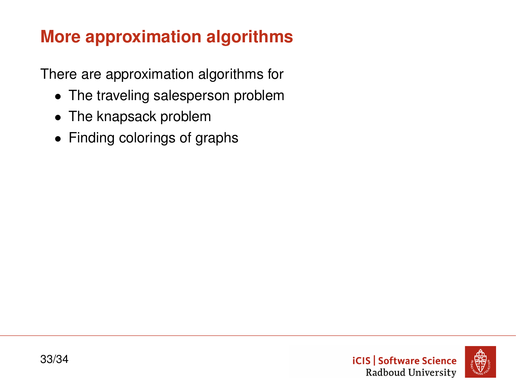# **More approximation algorithms**

There are approximation algorithms for

- The traveling salesperson problem
- The knapsack problem
- Finding colorings of graphs

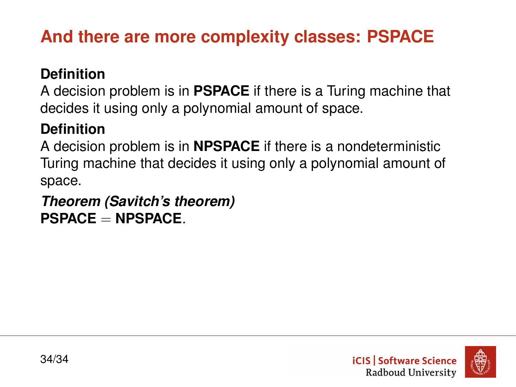# **And there are more complexity classes: PSPACE**

#### **Definition**

A decision problem is in **PSPACE** if there is a Turing machine that decides it using only a polynomial amount of space.

#### **Definition**

A decision problem is in **NPSPACE** if there is a nondeterministic Turing machine that decides it using only a polynomial amount of space.

#### *Theorem (Savitch's theorem)* **PSPACE** = **NPSPACE***.*